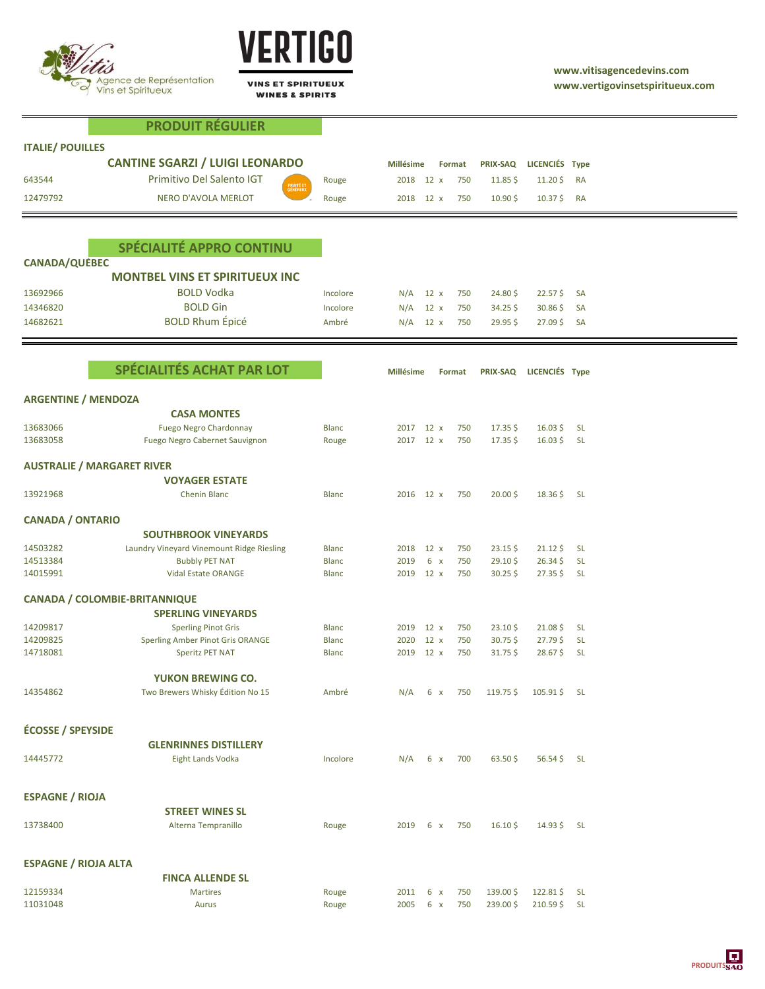

**PRODUIT RÉGULIER**



**VINS ET SPIRITUEUX WINES & SPIRITS** 

| <b>ITALIE/ POUILLES</b>     |                                                                          |              |                  |             |        |                      |                         |           |  |
|-----------------------------|--------------------------------------------------------------------------|--------------|------------------|-------------|--------|----------------------|-------------------------|-----------|--|
|                             | <b>CANTINE SGARZI / LUIGI LEONARDO</b>                                   |              | <b>Millésime</b> |             | Format | <b>PRIX-SAQ</b>      | LICENCIÉS Type          |           |  |
| 643544                      | Primitivo Del Salento IGT                                                | Rouge        | 2018 12 x        |             | 750    | $11.85\,\frac{1}{2}$ | $11.20\frac{1}{2}$      | RA        |  |
| 12479792                    | FRUITÉ ET<br>GÉNÉREUX<br>NERO D'AVOLA MERLOT                             | Rouge        | 2018 12 x        |             | 750    | $10.90\frac{1}{2}$   | $10.37\frac{1}{5}$ RA   |           |  |
|                             |                                                                          |              |                  |             |        |                      |                         |           |  |
|                             |                                                                          |              |                  |             |        |                      |                         |           |  |
|                             | SPÉCIALITÉ APPRO CONTINU                                                 |              |                  |             |        |                      |                         |           |  |
| <b>CANADA/QUÉBEC</b>        |                                                                          |              |                  |             |        |                      |                         |           |  |
|                             | <b>MONTBEL VINS ET SPIRITUEUX INC</b>                                    |              |                  |             |        |                      |                         |           |  |
| 13692966                    | <b>BOLD Vodka</b>                                                        | Incolore     | N/A              | $12 \times$ | 750    | 24.80\$              | $22.57$ \$              | SA        |  |
| 14346820                    | <b>BOLD Gin</b>                                                          | Incolore     | N/A              | 12 x        | 750    | 34.25\$              | $30.86\frac{1}{2}$      | <b>SA</b> |  |
| 14682621                    | <b>BOLD Rhum Épicé</b>                                                   | Ambré        | N/A              | $12 \times$ | 750    | 29.95\$              | $27.09\frac{1}{5}$      | SA        |  |
|                             |                                                                          |              |                  |             |        |                      |                         |           |  |
|                             | SPÉCIALITÉS ACHAT PAR LOT                                                |              |                  |             |        |                      |                         |           |  |
|                             |                                                                          |              | <b>Millésime</b> |             | Format | <b>PRIX-SAQ</b>      | LICENCIÉS Type          |           |  |
| <b>ARGENTINE / MENDOZA</b>  |                                                                          |              |                  |             |        |                      |                         |           |  |
|                             | <b>CASA MONTES</b>                                                       |              |                  |             |        |                      |                         |           |  |
| 13683066                    | <b>Fuego Negro Chardonnay</b>                                            | <b>Blanc</b> | 2017 12 x        |             | 750    | $17.35\,\frac{1}{2}$ | $16.03$ \$              | <b>SL</b> |  |
| 13683058                    | Fuego Negro Cabernet Sauvignon                                           | Rouge        | 2017 12 x        |             | 750    | $17.35\,\frac{1}{2}$ | $16.03\frac{1}{2}$      | <b>SL</b> |  |
|                             | <b>AUSTRALIE / MARGARET RIVER</b>                                        |              |                  |             |        |                      |                         |           |  |
|                             | <b>VOYAGER ESTATE</b>                                                    |              |                  |             |        |                      |                         |           |  |
| 13921968                    | <b>Chenin Blanc</b>                                                      | <b>Blanc</b> | 2016 12 x        |             | 750    | $20.00\frac{1}{2}$   | $18.36\frac{1}{2}$      | <b>SL</b> |  |
|                             |                                                                          |              |                  |             |        |                      |                         |           |  |
| <b>CANADA / ONTARIO</b>     |                                                                          |              |                  |             |        |                      |                         |           |  |
| 14503282                    | <b>SOUTHBROOK VINEYARDS</b><br>Laundry Vineyard Vinemount Ridge Riesling | <b>Blanc</b> | 2018             | $12 \times$ | 750    | $23.15\frac{1}{2}$   | $21.12\frac{1}{5}$      | <b>SL</b> |  |
| 14513384                    | <b>Bubbly PET NAT</b>                                                    | <b>Blanc</b> | 2019             | $6 \times$  | 750    | 29.10\$              | $26.34\frac{1}{2}$      | <b>SL</b> |  |
| 14015991                    | <b>Vidal Estate ORANGE</b>                                               | <b>Blanc</b> | 2019             | $12 \times$ | 750    | $30.25$ \$           | $27.35$ \$              | -SL       |  |
|                             |                                                                          |              |                  |             |        |                      |                         |           |  |
|                             | <b>CANADA / COLOMBIE-BRITANNIQUE</b>                                     |              |                  |             |        |                      |                         |           |  |
| 14209817                    | <b>SPERLING VINEYARDS</b><br><b>Sperling Pinot Gris</b>                  | <b>Blanc</b> | 2019             | $12 \times$ | 750    | 23.10\$              | 21.08\$                 | <b>SL</b> |  |
| 14209825                    | Sperling Amber Pinot Gris ORANGE                                         | <b>Blanc</b> | 2020             | 12 x        | 750    | $30.75$ \$           | $27.79\,\$$             | <b>SL</b> |  |
| 14718081                    | <b>Speritz PET NAT</b>                                                   | <b>Blanc</b> | 2019             | 12 x        | 750    | $31.75$ \$           | 28.67\$                 | <b>SL</b> |  |
|                             |                                                                          |              |                  |             |        |                      |                         |           |  |
|                             | <b>YUKON BREWING CO.</b>                                                 |              |                  |             |        |                      |                         |           |  |
| 14354862                    | Two Brewers Whisky Édition No 15                                         | Ambré        | N/A              | 6 x         | 750    | 119.75\$             | $105.91\frac{1}{5}$ SL  |           |  |
|                             |                                                                          |              |                  |             |        |                      |                         |           |  |
| <b>ÉCOSSE / SPEYSIDE</b>    |                                                                          |              |                  |             |        |                      |                         |           |  |
|                             | <b>GLENRINNES DISTILLERY</b>                                             |              |                  |             |        |                      |                         |           |  |
| 14445772                    | <b>Eight Lands Vodka</b>                                                 | Incolore     | N/A              | 6x          | 700    | 63.50\$              | $56.54\,\frac{1}{2}$ SL |           |  |
|                             |                                                                          |              |                  |             |        |                      |                         |           |  |
| <b>ESPAGNE / RIOJA</b>      |                                                                          |              |                  |             |        |                      |                         |           |  |
|                             | <b>STREET WINES SL</b>                                                   |              |                  |             |        |                      |                         |           |  |
| 13738400                    | Alterna Tempranillo                                                      | Rouge        | 2019             | $6 \times$  | 750    | $16.10\frac{1}{2}$   | $14.93\sqrt{5}$ SL      |           |  |
|                             |                                                                          |              |                  |             |        |                      |                         |           |  |
| <b>ESPAGNE / RIOJA ALTA</b> |                                                                          |              |                  |             |        |                      |                         |           |  |
|                             | <b>FINCA ALLENDE SL</b>                                                  |              |                  |             |        |                      |                         |           |  |
| 12159334                    | <b>Martires</b>                                                          | Rouge        | 2011             | $6 \times$  | 750    | 139.00\$             | 122.81\$                | <b>SL</b> |  |
| 11031048                    | Aurus                                                                    | Rouge        | 2005             | $6 \times$  | 750    | 239.00\$             | $210.59\frac{1}{2}$ SL  |           |  |

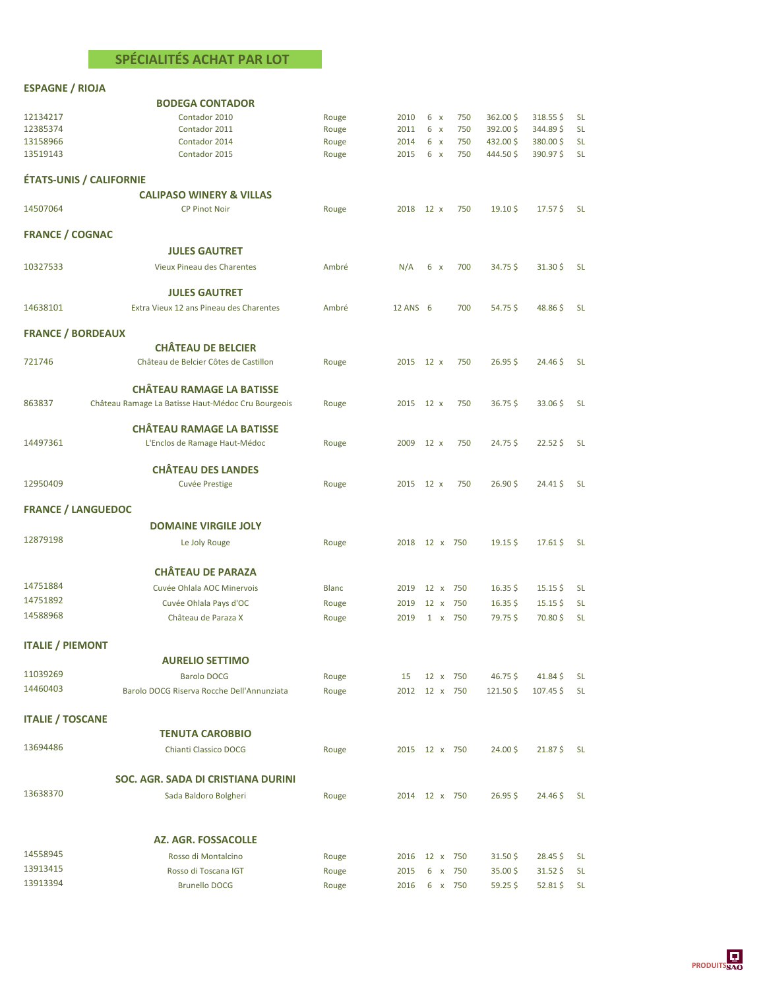## **SPÉCIALITÉS ACHAT PAR LOT**

## **ESPAGNE / RIOJA**

**BODEGA CONTADOR**

|                          | <b>BUDEGA CONTADOR</b>                             |              |               |             |          |                     |                    |           |
|--------------------------|----------------------------------------------------|--------------|---------------|-------------|----------|---------------------|--------------------|-----------|
| 12134217                 | Contador 2010                                      | Rouge        | 2010          | $6 \times$  | 750      | $362.00$ \$         | $318.55$ \$        | <b>SL</b> |
| 12385374                 | Contador 2011                                      | Rouge        | 2011          | $6 \times$  | 750      | 392.00\$            | 344.89\$           | <b>SL</b> |
| 13158966                 | Contador 2014                                      | Rouge        | 2014          | $6 \times$  | 750      | 432.00\$            | 380.00\$           | <b>SL</b> |
| 13519143                 | Contador 2015                                      | Rouge        | 2015          | $6 \times$  | 750      | 444.50\$            | 390.97\$           | <b>SL</b> |
|                          | <b>ÉTATS-UNIS / CALIFORNIE</b>                     |              |               |             |          |                     |                    |           |
|                          | <b>CALIPASO WINERY &amp; VILLAS</b>                |              |               |             |          |                     |                    |           |
| 14507064                 | <b>CP Pinot Noir</b>                               | Rouge        | 2018          | $12 \times$ | 750      | $19.10\,\text{S}$   | 17.57\$            | <b>SL</b> |
| <b>FRANCE / COGNAC</b>   |                                                    |              |               |             |          |                     |                    |           |
|                          | <b>JULES GAUTRET</b>                               |              |               |             |          |                     |                    |           |
| 10327533                 | Vieux Pineau des Charentes                         | Ambré        | N/A           | $6 \times$  | 700      | $34.75\frac{1}{2}$  | 31.30\$            | <b>SL</b> |
|                          | <b>JULES GAUTRET</b>                               |              |               |             |          |                     |                    |           |
| 14638101                 | Extra Vieux 12 ans Pineau des Charentes            | Ambré        | 12 ANS 6      |             | 700      | 54.75\$             | 48.86\$            | <b>SL</b> |
| <b>FRANCE / BORDEAUX</b> |                                                    |              |               |             |          |                     |                    |           |
|                          | <b>CHÂTEAU DE BELCIER</b>                          |              |               |             |          |                     |                    |           |
| 721746                   | Château de Belcier Côtes de Castillon              | Rouge        | 2015          | $12 \times$ | 750      | 26.95S              | 24.46\$            | <b>SL</b> |
|                          |                                                    |              |               |             |          |                     |                    |           |
|                          | <b>CHÂTEAU RAMAGE LA BATISSE</b>                   |              |               |             |          |                     |                    |           |
| 863837                   | Château Ramage La Batisse Haut-Médoc Cru Bourgeois | Rouge        | 2015          | $12 \times$ | 750      | $36.75\frac{1}{2}$  | 33.06\$            | <b>SL</b> |
|                          | <b>CHÂTEAU RAMAGE LA BATISSE</b>                   |              |               |             |          |                     |                    |           |
| 14497361                 | L'Enclos de Ramage Haut-Médoc                      | Rouge        | 2009          | $12 \times$ | 750      | 24.75\$             | 22.52\$            | <b>SL</b> |
|                          | <b>CHÂTEAU DES LANDES</b>                          |              |               |             |          |                     |                    |           |
| 12950409                 | Cuvée Prestige                                     | Rouge        | 2015          | $12 \times$ | 750      | $26.90\text{ }$     | 24.41\$            | <b>SL</b> |
|                          | <b>FRANCE / LANGUEDOC</b>                          |              |               |             |          |                     |                    |           |
|                          | <b>DOMAINE VIRGILE JOLY</b>                        |              |               |             |          |                     |                    |           |
| 12879198                 | Le Joly Rouge                                      | Rouge        | 2018          |             | 12 x 750 | $19.15\frac{1}{2}$  | 17.61\$            | <b>SL</b> |
|                          | <b>CHÂTEAU DE PARAZA</b>                           |              |               |             |          |                     |                    |           |
| 14751884                 |                                                    |              |               |             |          |                     |                    |           |
| 14751892                 | Cuvée Ohlala AOC Minervois                         | <b>Blanc</b> | 2019          | $12 \times$ | 750      | $16.35\frac{1}{2}$  | $15.15$ \$         | <b>SL</b> |
| 14588968                 | Cuvée Ohlala Pays d'OC                             | Rouge        | 2019          | $12 \times$ | 750      | $16.35$ \$          | $15.15$ \$         | <b>SL</b> |
|                          | Château de Paraza X                                | Rouge        | 2019          |             | 1 x 750  | 79.75\$             | 70.80\$            | <b>SL</b> |
| <b>ITALIE / PIEMONT</b>  |                                                    |              |               |             |          |                     |                    |           |
|                          | <b>AURELIO SETTIMO</b>                             |              |               |             |          |                     |                    |           |
| 11039269                 | <b>Barolo DOCG</b>                                 | Rouge        | 15            |             | 12 x 750 | $46.75\frac{1}{2}$  | 41.84\$            | <b>SL</b> |
| 14460403                 | Barolo DOCG Riserva Rocche Dell'Annunziata         | Rouge        | 2012          |             | 12 x 750 | $121.50\frac{1}{2}$ | 107.45\$           | <b>SL</b> |
| <b>ITALIE / TOSCANE</b>  |                                                    |              |               |             |          |                     |                    |           |
|                          | <b>TENUTA CAROBBIO</b>                             |              |               |             |          |                     |                    |           |
| 13694486                 | Chianti Classico DOCG                              | Rouge        | 2015 12 x 750 |             |          | 24.00\$             | 21.87\$            | <b>SL</b> |
|                          | SOC. AGR. SADA DI CRISTIANA DURINI                 |              |               |             |          |                     |                    |           |
| 13638370                 |                                                    |              |               |             |          |                     |                    |           |
|                          | Sada Baldoro Bolgheri                              | Rouge        | 2014 12 x 750 |             |          | $26.95$ \$          | 24.46 \$           | <b>SL</b> |
|                          |                                                    |              |               |             |          |                     |                    |           |
| 14558945                 | <b>AZ. AGR. FOSSACOLLE</b>                         |              |               |             |          |                     |                    |           |
|                          | Rosso di Montalcino                                | Rouge        | 2016 12 x 750 |             |          | $31.50\frac{1}{2}$  | 28.45\$            | <b>SL</b> |
| 13913415                 | Rosso di Toscana IGT                               | Rouge        | 2015          |             | 6 x 750  | $35.00\frac{1}{2}$  | $31.52\frac{1}{5}$ | <b>SL</b> |
| 13913394                 | <b>Brunello DOCG</b>                               | Rouge        | 2016          |             | 6 x 750  | $59.25$ \$          | $52.81\,\$$        | <b>SL</b> |